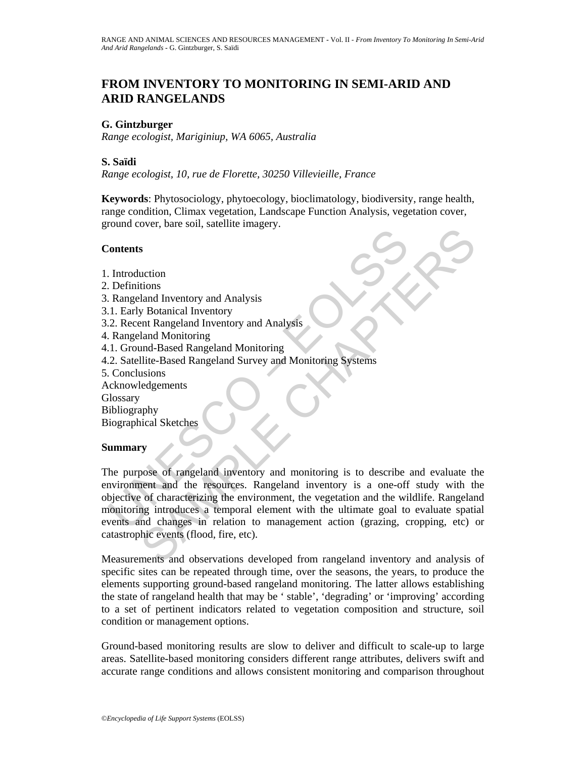# **FROM INVENTORY TO MONITORING IN SEMI-ARID AND ARID RANGELANDS**

#### **G. Gintzburger**

*Range ecologist, Mariginiup, WA 6065, Australia* 

#### **S. Saïdi**

*Range ecologist, 10, rue de Florette, 30250 Villevieille, France* 

**Keywords**: Phytosociology, phytoecology, bioclimatology, biodiversity, range health, range condition, Climax vegetation, Landscape Function Analysis, vegetation cover, ground cover, bare soil, satellite imagery.

#### **Contents**

- 1. Introduction
- 2. Definitions
- 3. Rangeland Inventory and Analysis
- 3.1. Early Botanical Inventory
- 3.2. Recent Rangeland Inventory and Analysis
- 4. Rangeland Monitoring
- 4.1. Ground-Based Rangeland Monitoring
- 4.2. Satellite-Based Rangeland Survey and Monitoring Systems
- 5. Conclusions
- Acknowledgements
- **Glossary**
- Bibliography

Biographical Sketches

#### **Summary**

Contents<br>
Introduction<br>
Introduction<br>
Definitions<br>
Rangeland Inventory and Analysis<br>
1. Early Botanical Inventory<br>
2. Recent Rangeland Inventory and Analysis<br>
R. Rangeland Monitoring<br>
2. Satellite-Based Rangeland Monitorin S<br>
S<br>
S<br>
and Inventory and Analysis<br>
land Inventory<br>
Botanical Inventory<br>
S<br>
Botanical Inventory<br>
S<br>
Botanical Inventory<br>
and Analysis<br>
and-Based Rangeland Monitoring<br>
Ilite-Based Rangeland Survey and Monitoring Systems<br>
s The purpose of rangeland inventory and monitoring is to describe and evaluate the environment and the resources. Rangeland inventory is a one-off study with the objective of characterizing the environment, the vegetation and the wildlife. Rangeland monitoring introduces a temporal element with the ultimate goal to evaluate spatial events and changes in relation to management action (grazing, cropping, etc) or catastrophic events (flood, fire, etc).

Measurements and observations developed from rangeland inventory and analysis of specific sites can be repeated through time, over the seasons, the years, to produce the elements supporting ground-based rangeland monitoring. The latter allows establishing the state of rangeland health that may be ' stable', 'degrading' or 'improving' according to a set of pertinent indicators related to vegetation composition and structure, soil condition or management options.

Ground-based monitoring results are slow to deliver and difficult to scale-up to large areas. Satellite-based monitoring considers different range attributes, delivers swift and accurate range conditions and allows consistent monitoring and comparison throughout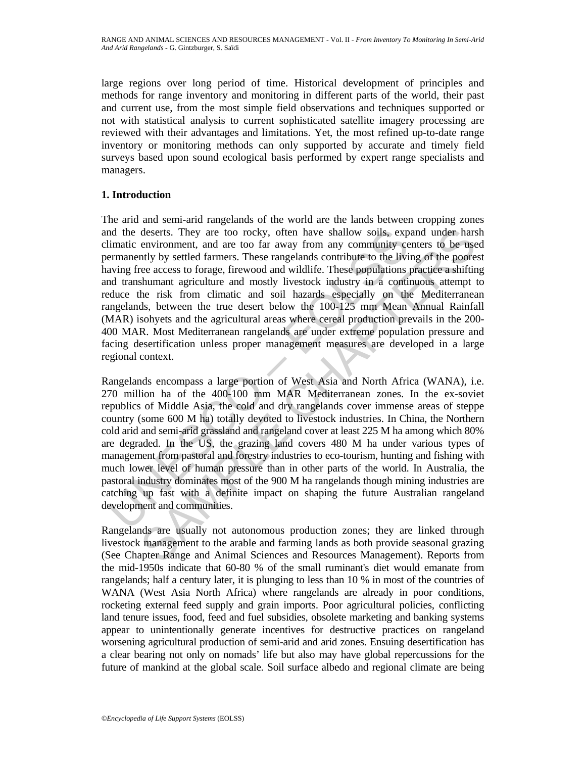large regions over long period of time. Historical development of principles and methods for range inventory and monitoring in different parts of the world, their past and current use, from the most simple field observations and techniques supported or not with statistical analysis to current sophisticated satellite imagery processing are reviewed with their advantages and limitations. Yet, the most refined up-to-date range inventory or monitoring methods can only supported by accurate and timely field surveys based upon sound ecological basis performed by expert range specialists and managers.

### **1. Introduction**

The arid and semi-arid rangelands of the world are the lands between cropping zones and the deserts. They are too rocky, often have shallow soils, expand under harsh climatic environment, and are too far away from any community centers to be used permanently by settled farmers. These rangelands contribute to the living of the poorest having free access to forage, firewood and wildlife. These populations practice a shifting and transhumant agriculture and mostly livestock industry in a continuous attempt to reduce the risk from climatic and soil hazards especially on the Mediterranean rangelands, between the true desert below the 100-125 mm Mean Annual Rainfall (MAR) isohyets and the agricultural areas where cereal production prevails in the 200- 400 MAR. Most Mediterranean rangelands are under extreme population pressure and facing desertification unless proper management measures are developed in a large regional context.

nd the deserts. They are too rocky, often have shallow soils, expluratic environment, and are too far away from any community cerremanently by settled farmers. These rangelands contribute to the living free access to forag deserts. They are too rocky, often have shallow soils, expand under hars<br>environment, and are too far away from any community centers to be used<br>entyly by settled farmers. These rangelands contribute to the living of the p Rangelands encompass a large portion of West Asia and North Africa (WANA), i.e. 270 million ha of the 400-100 mm MAR Mediterranean zones. In the ex-soviet republics of Middle Asia, the cold and dry rangelands cover immense areas of steppe country (some 600 M ha) totally devoted to livestock industries. In China, the Northern cold arid and semi-arid grassland and rangeland cover at least 225 M ha among which 80% are degraded. In the US, the grazing land covers 480 M ha under various types of management from pastoral and forestry industries to eco-tourism, hunting and fishing with much lower level of human pressure than in other parts of the world. In Australia, the pastoral industry dominates most of the 900 M ha rangelands though mining industries are catching up fast with a definite impact on shaping the future Australian rangeland development and communities.

Rangelands are usually not autonomous production zones; they are linked through livestock management to the arable and farming lands as both provide seasonal grazing (See Chapter Range and Animal Sciences and Resources Management). Reports from the mid-1950s indicate that 60-80 % of the small ruminant's diet would emanate from rangelands; half a century later, it is plunging to less than 10 % in most of the countries of WANA (West Asia North Africa) where rangelands are already in poor conditions, rocketing external feed supply and grain imports. Poor agricultural policies, conflicting land tenure issues, food, feed and fuel subsidies, obsolete marketing and banking systems appear to unintentionally generate incentives for destructive practices on rangeland worsening agricultural production of semi-arid and arid zones. Ensuing desertification has a clear bearing not only on nomads' life but also may have global repercussions for the future of mankind at the global scale. Soil surface albedo and regional climate are being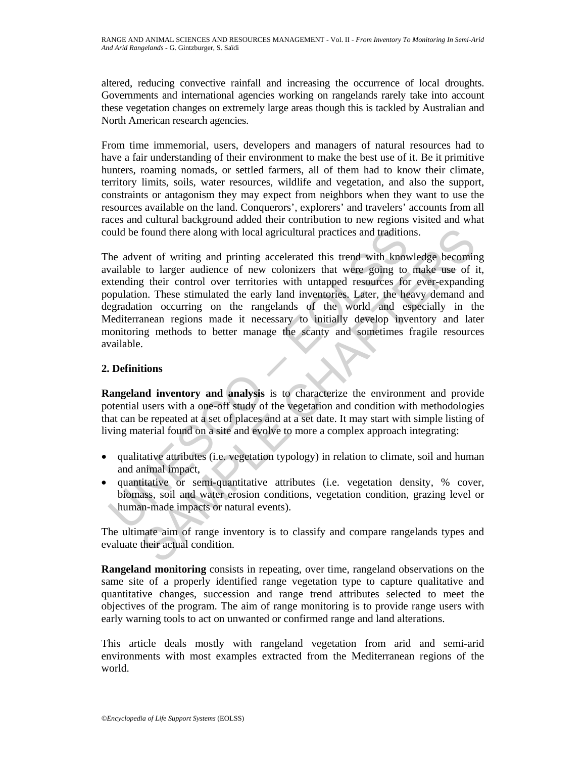altered, reducing convective rainfall and increasing the occurrence of local droughts. Governments and international agencies working on rangelands rarely take into account these vegetation changes on extremely large areas though this is tackled by Australian and North American research agencies.

From time immemorial, users, developers and managers of natural resources had to have a fair understanding of their environment to make the best use of it. Be it primitive hunters, roaming nomads, or settled farmers, all of them had to know their climate, territory limits, soils, water resources, wildlife and vegetation, and also the support, constraints or antagonism they may expect from neighbors when they want to use the resources available on the land. Conquerors', explorers' and travelers' accounts from all races and cultural background added their contribution to new regions visited and what could be found there along with local agricultural practices and traditions.

by the found there along with local agricultural practices and tradition<br>the advent of writing and printing accelerated this trend with know<br>available to larger audience of new colonizers that were going to<br>tending their c found there along with local agricultural practices and traditions.<br>
ent of writing and printing accelerated this trend with knowledge becomin<br>
to larger audience of new colonizers that were going to make use of it<br>
to lar The advent of writing and printing accelerated this trend with knowledge becoming available to larger audience of new colonizers that were going to make use of it, extending their control over territories with untapped resources for ever-expanding population. These stimulated the early land inventories. Later, the heavy demand and degradation occurring on the rangelands of the world and especially in the Mediterranean regions made it necessary to initially develop inventory and later monitoring methods to better manage the scanty and sometimes fragile resources available.

## **2. Definitions**

**Rangeland inventory and analysis** is to characterize the environment and provide potential users with a one-off study of the vegetation and condition with methodologies that can be repeated at a set of places and at a set date. It may start with simple listing of living material found on a site and evolve to more a complex approach integrating:

- qualitative attributes (i.e. vegetation typology) in relation to climate, soil and human and animal impact,
- quantitative or semi-quantitative attributes (i.e. vegetation density, % cover, biomass, soil and water erosion conditions, vegetation condition, grazing level or human-made impacts or natural events).

The ultimate aim of range inventory is to classify and compare rangelands types and evaluate their actual condition.

**Rangeland monitoring** consists in repeating, over time, rangeland observations on the same site of a properly identified range vegetation type to capture qualitative and quantitative changes, succession and range trend attributes selected to meet the objectives of the program. The aim of range monitoring is to provide range users with early warning tools to act on unwanted or confirmed range and land alterations.

This article deals mostly with rangeland vegetation from arid and semi-arid environments with most examples extracted from the Mediterranean regions of the world.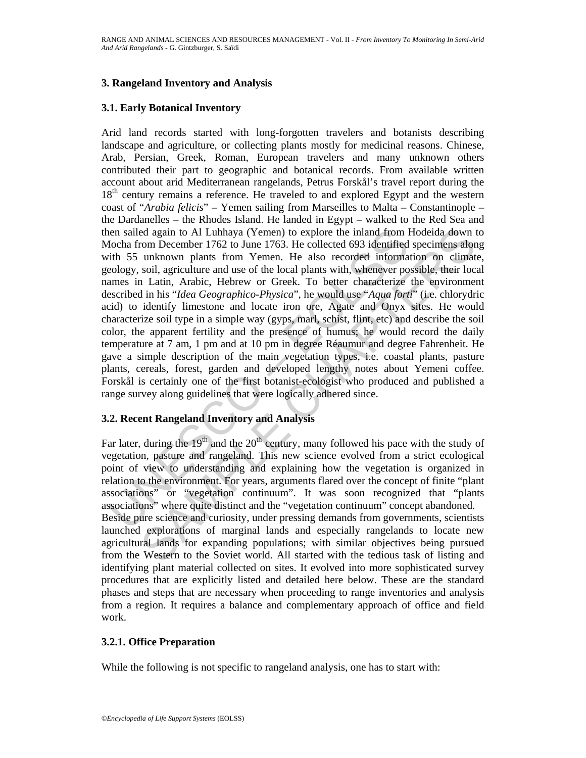#### **3. Rangeland Inventory and Analysis**

#### **3.1. Early Botanical Inventory**

ien sailed again to Al Luhhaya (Yemen) to explore the inland from locha from Docha arom December 1762 to June 1763. He collected 693 identified form in the also recorded information of Demonstration of Yemen. He also reco ed again to Al Luhhaya (Yemen) to explore the inland from Hodeida down tom Drecomber 1762 to June 1763. He collected 693 identified specimens alon unknown plants from Yemen. He also recorded information on climation, agric Arid land records started with long-forgotten travelers and botanists describing landscape and agriculture, or collecting plants mostly for medicinal reasons. Chinese, Arab, Persian, Greek, Roman, European travelers and many unknown others contributed their part to geographic and botanical records. From available written account about arid Mediterranean rangelands, Petrus Forskål's travel report during the 18<sup>th</sup> century remains a reference. He traveled to and explored Egypt and the western coast of "*Arabia felicis*" – Yemen sailing from Marseilles to Malta – Constantinople – the Dardanelles – the Rhodes Island. He landed in Egypt – walked to the Red Sea and then sailed again to Al Luhhaya (Yemen) to explore the inland from Hodeida down to Mocha from December 1762 to June 1763. He collected 693 identified specimens along with 55 unknown plants from Yemen. He also recorded information on climate, geology, soil, agriculture and use of the local plants with, whenever possible, their local names in Latin, Arabic, Hebrew or Greek. To better characterize the environment described in his "*Idea Geographico-Physica*", he would use "*Aqua forti*" (i.e. chlorydric acid) to identify limestone and locate iron ore, Agate and Onyx sites. He would characterize soil type in a simple way (gyps, marl, schist, flint, etc) and describe the soil color, the apparent fertility and the presence of humus; he would record the daily temperature at 7 am, 1 pm and at 10 pm in degree Réaumur and degree Fahrenheit. He gave a simple description of the main vegetation types, i.e. coastal plants, pasture plants, cereals, forest, garden and developed lengthy notes about Yemeni coffee. Forskål is certainly one of the first botanist-ecologist who produced and published a range survey along guidelines that were logically adhered since.

### **3.2. Recent Rangeland Inventory and Analysis**

Far later, during the  $19<sup>th</sup>$  and the  $20<sup>th</sup>$  century, many followed his pace with the study of vegetation, pasture and rangeland. This new science evolved from a strict ecological point of view to understanding and explaining how the vegetation is organized in relation to the environment. For years, arguments flared over the concept of finite "plant associations" or "vegetation continuum". It was soon recognized that "plants associations" where quite distinct and the "vegetation continuum" concept abandoned. Beside pure science and curiosity, under pressing demands from governments, scientists launched explorations of marginal lands and especially rangelands to locate new agricultural lands for expanding populations; with similar objectives being pursued from the Western to the Soviet world. All started with the tedious task of listing and identifying plant material collected on sites. It evolved into more sophisticated survey procedures that are explicitly listed and detailed here below. These are the standard phases and steps that are necessary when proceeding to range inventories and analysis from a region. It requires a balance and complementary approach of office and field work.

### **3.2.1. Office Preparation**

While the following is not specific to rangeland analysis, one has to start with: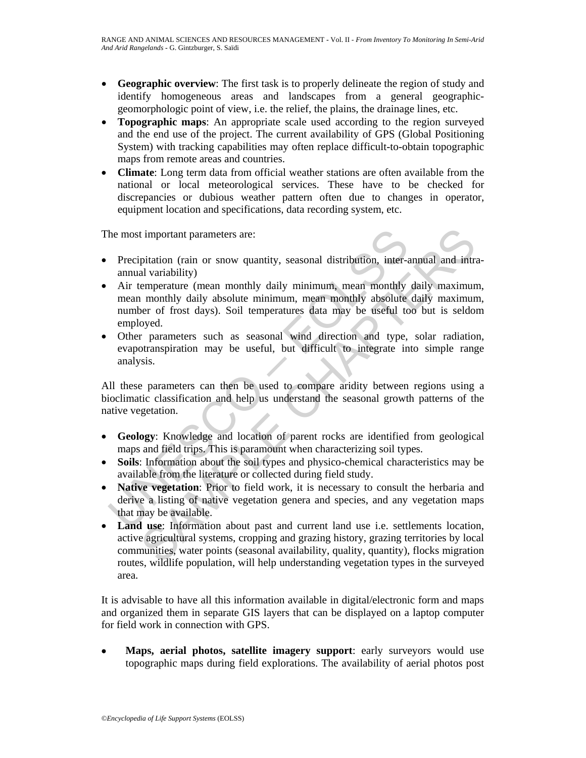- **Geographic overview**: The first task is to properly delineate the region of study and identify homogeneous areas and landscapes from a general geographicgeomorphologic point of view, i.e. the relief, the plains, the drainage lines, etc.
- **Topographic maps**: An appropriate scale used according to the region surveyed and the end use of the project. The current availability of GPS (Global Positioning System) with tracking capabilities may often replace difficult-to-obtain topographic maps from remote areas and countries.
- **Climate**: Long term data from official weather stations are often available from the national or local meteorological services. These have to be checked for discrepancies or dubious weather pattern often due to changes in operator, equipment location and specifications, data recording system, etc.

The most important parameters are:

- Precipitation (rain or snow quantity, seasonal distribution, inter-annual and intraannual variability)
- The most important parameters are:<br>
Precipitation (rain or snow quantity, seasonal distribution, inter-annual variability)<br>
Air temperature (mean monthly daily minimum, mean monthly absolute<br>
number of frost days). Soil te is timportant parameters are:<br>
interval parameters are:<br>
intation (rain or snow quantity, seasonal distribution, inter-annual and intra<br>
interval and variability)<br>
interval and variability)<br>
interval and monthly daily mini • Air temperature (mean monthly daily minimum, mean monthly daily maximum, mean monthly daily absolute minimum, mean monthly absolute daily maximum, number of frost days). Soil temperatures data may be useful too but is seldom employed.
- Other parameters such as seasonal wind direction and type, solar radiation, evapotranspiration may be useful, but difficult to integrate into simple range analysis.

All these parameters can then be used to compare aridity between regions using a bioclimatic classification and help us understand the seasonal growth patterns of the native vegetation.

- **Geology**: Knowledge and location of parent rocks are identified from geological maps and field trips. This is paramount when characterizing soil types.
- **Soils**: Information about the soil types and physico-chemical characteristics may be available from the literature or collected during field study.
- **Native vegetation**: Prior to field work, it is necessary to consult the herbaria and derive a listing of native vegetation genera and species, and any vegetation maps that may be available.
- **Land use**: Information about past and current land use i.e. settlements location, active agricultural systems, cropping and grazing history, grazing territories by local communities, water points (seasonal availability, quality, quantity), flocks migration routes, wildlife population, will help understanding vegetation types in the surveyed area.

It is advisable to have all this information available in digital/electronic form and maps and organized them in separate GIS layers that can be displayed on a laptop computer for field work in connection with GPS.

• **Maps, aerial photos, satellite imagery support**: early surveyors would use topographic maps during field explorations. The availability of aerial photos post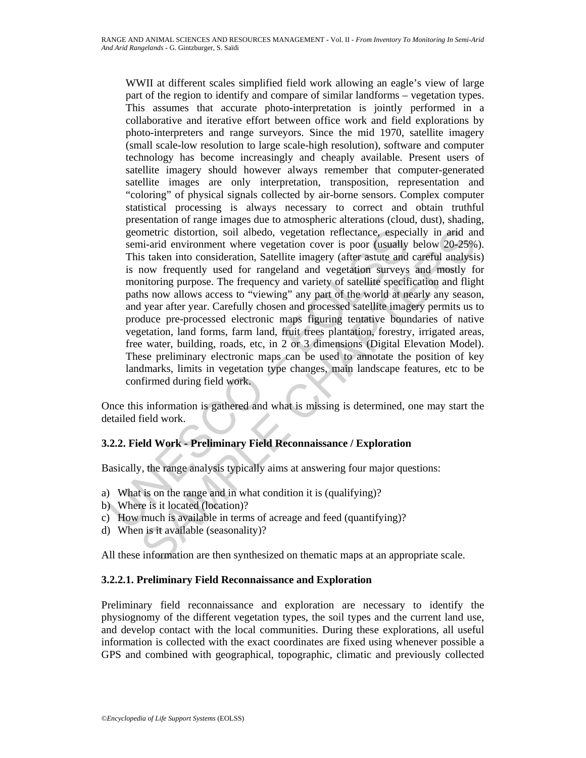geometric distortion, soil albedo, vegetation reflectance, espect<br>semi-arid environment where vegetation cover is poor (usually<br>This taken into consideration, Satellite imagery (after astute and<br>is now frequently used for metric distortion, soil albedo, vegetation reflectance, especially in arid an<br>in-ind environment where vegetation cover is poor (usually below 20-25%<br>is taken into consideration. Statellite imagery (after astue and careful WWII at different scales simplified field work allowing an eagle's view of large part of the region to identify and compare of similar landforms – vegetation types. This assumes that accurate photo-interpretation is jointly performed in a collaborative and iterative effort between office work and field explorations by photo-interpreters and range surveyors. Since the mid 1970, satellite imagery (small scale-low resolution to large scale-high resolution), software and computer technology has become increasingly and cheaply available. Present users of satellite imagery should however always remember that computer-generated satellite images are only interpretation, transposition, representation and "coloring" of physical signals collected by air-borne sensors. Complex computer statistical processing is always necessary to correct and obtain truthful presentation of range images due to atmospheric alterations (cloud, dust), shading, geometric distortion, soil albedo, vegetation reflectance, especially in arid and semi-arid environment where vegetation cover is poor (usually below 20-25%). This taken into consideration, Satellite imagery (after astute and careful analysis) is now frequently used for rangeland and vegetation surveys and mostly for monitoring purpose. The frequency and variety of satellite specification and flight paths now allows access to "viewing" any part of the world at nearly any season, and year after year. Carefully chosen and processed satellite imagery permits us to produce pre-processed electronic maps figuring tentative boundaries of native vegetation, land forms, farm land, fruit trees plantation, forestry, irrigated areas, free water, building, roads, etc, in 2 or 3 dimensions (Digital Elevation Model). These preliminary electronic maps can be used to annotate the position of key landmarks, limits in vegetation type changes, main landscape features, etc to be confirmed during field work.

Once this information is gathered and what is missing is determined, one may start the detailed field work.

### **3.2.2. Field Work - Preliminary Field Reconnaissance / Exploration**

Basically, the range analysis typically aims at answering four major questions:

- a) What is on the range and in what condition it is (qualifying)?
- b) Where is it located (location)?
- c) How much is available in terms of acreage and feed (quantifying)?
- d) When is it available (seasonality)?

All these information are then synthesized on thematic maps at an appropriate scale.

#### **3.2.2.1. Preliminary Field Reconnaissance and Exploration**

Preliminary field reconnaissance and exploration are necessary to identify the physiognomy of the different vegetation types, the soil types and the current land use, and develop contact with the local communities. During these explorations, all useful information is collected with the exact coordinates are fixed using whenever possible a GPS and combined with geographical, topographic, climatic and previously collected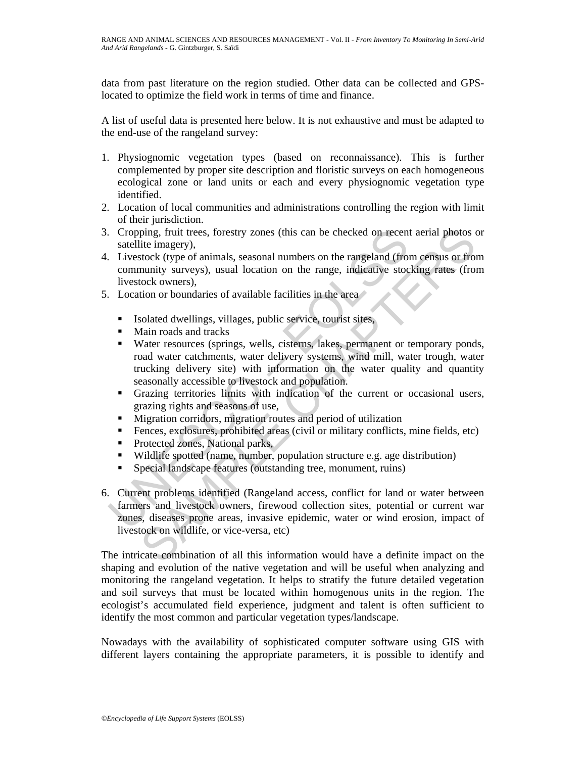data from past literature on the region studied. Other data can be collected and GPSlocated to optimize the field work in terms of time and finance.

A list of useful data is presented here below. It is not exhaustive and must be adapted to the end-use of the rangeland survey:

- 1. Physiognomic vegetation types (based on reconnaissance). This is further complemented by proper site description and floristic surveys on each homogeneous ecological zone or land units or each and every physiognomic vegetation type identified.
- 2. Location of local communities and administrations controlling the region with limit of their jurisdiction.
- 3. Cropping, fruit trees, forestry zones (this can be checked on recent aerial photos or satellite imagery),
- 4. Livestock (type of animals, seasonal numbers on the rangeland (from census or from community surveys), usual location on the range, indicative stocking rates (from livestock owners),
- 5. Location or boundaries of available facilities in the area
	- **Isolated dwellings, villages, public service, tourist sites,**
	- **Main roads and tracks**
- Cropping, fruit trees, forestry zones (this can be checked on recent<br>
staellite imagery),<br>
Livestock (type of animals, seasonal numbers on the rangeland (from<br>
community surveys), usual location on the range, indicative st ping, fruit trees, forestry zones (this can be checked on recent aerial photos cite<br>
citoc imagery),<br>
dictionagery),<br>
discoted (type of animals, scasonal numbers on the rangeland (from census or from<br>
munity surveys), usua Water resources (springs, wells, cisterns, lakes, permanent or temporary ponds, road water catchments, water delivery systems, wind mill, water trough, water trucking delivery site) with information on the water quality and quantity seasonally accessible to livestock and population.
	- Grazing territories limits with indication of the current or occasional users, grazing rights and seasons of use,
	- Migration corridors, migration routes and period of utilization
	- Fences, exclosures, prohibited areas (civil or military conflicts, mine fields, etc)
	- Protected zones, National parks,
	- Wildlife spotted (name, number, population structure e.g. age distribution)
	- Special landscape features (outstanding tree, monument, ruins)
- 6. Current problems identified (Rangeland access, conflict for land or water between farmers and livestock owners, firewood collection sites, potential or current war zones, diseases prone areas, invasive epidemic, water or wind erosion, impact of livestock on wildlife, or vice-versa, etc)

The intricate combination of all this information would have a definite impact on the shaping and evolution of the native vegetation and will be useful when analyzing and monitoring the rangeland vegetation. It helps to stratify the future detailed vegetation and soil surveys that must be located within homogenous units in the region. The ecologist's accumulated field experience, judgment and talent is often sufficient to identify the most common and particular vegetation types/landscape.

Nowadays with the availability of sophisticated computer software using GIS with different layers containing the appropriate parameters, it is possible to identify and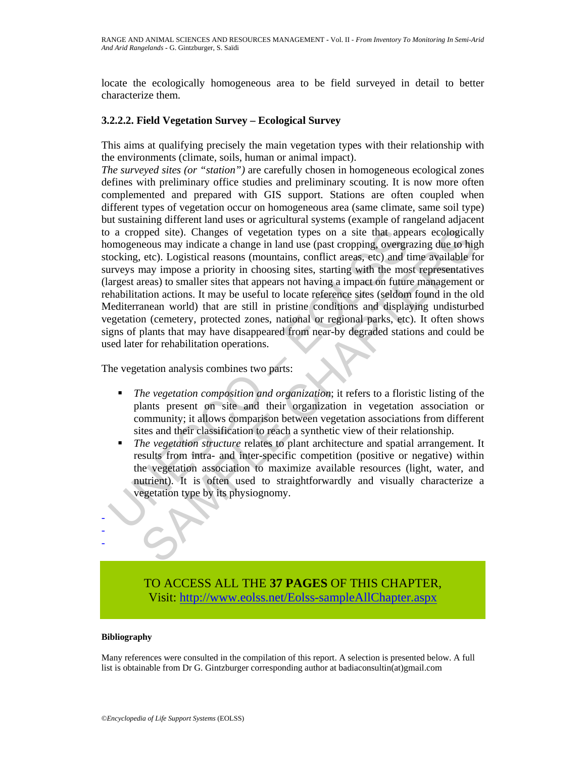locate the ecologically homogeneous area to be field surveyed in detail to better characterize them.

#### **3.2.2.2. Field Vegetation Survey – Ecological Survey**

This aims at qualifying precisely the main vegetation types with their relationship with the environments (climate, soils, human or animal impact).

Follow and indicate a change of vegetation types on a site that appomage<br>nonogeneous may indicate a change in land use (past cropping, overgration<br>change etc). Logistical reasons (mountains, conflict areas, etc) and<br>the m pped site). Changes of vegetation types on a site that appears ecologicall<br>concous may indicate a change in land use (past cropping, overgrazing due to hige<br>ceto. Logistical reasons (mountains, conflict areas, etc) and tim *The surveyed sites (or "station")* are carefully chosen in homogeneous ecological zones defines with preliminary office studies and preliminary scouting. It is now more often complemented and prepared with GIS support. Stations are often coupled when different types of vegetation occur on homogeneous area (same climate, same soil type) but sustaining different land uses or agricultural systems (example of rangeland adjacent to a cropped site). Changes of vegetation types on a site that appears ecologically homogeneous may indicate a change in land use (past cropping, overgrazing due to high stocking, etc). Logistical reasons (mountains, conflict areas, etc) and time available for surveys may impose a priority in choosing sites, starting with the most representatives (largest areas) to smaller sites that appears not having a impact on future management or rehabilitation actions. It may be useful to locate reference sites (seldom found in the old Mediterranean world) that are still in pristine conditions and displaying undisturbed vegetation (cemetery, protected zones, national or regional parks, etc). It often shows signs of plants that may have disappeared from near-by degraded stations and could be used later for rehabilitation operations.

The vegetation analysis combines two parts:

- *The vegetation composition and organization*; it refers to a floristic listing of the plants present on site and their organization in vegetation association or community; it allows comparison between vegetation associations from different sites and their classification to reach a synthetic view of their relationship.
- *The vegetation structure* relates to plant architecture and spatial arrangement. It results from intra- and inter-specific competition (positive or negative) within the vegetation association to maximize available resources (light, water, and nutrient). It is often used to straightforwardly and visually characterize a vegetation type by its physiognomy.

TO ACCESS ALL THE **37 PAGES** OF THIS CHAPTER, Vis[it: http://www.eolss.net/Eolss-sampleAllChapter.aspx](https://www.eolss.net/ebooklib/sc_cart.aspx?File=E5-35-23)

#### **Bibliography**

- - -

Many references were consulted in the compilation of this report. A selection is presented below. A full list is obtainable from Dr G. Gintzburger corresponding author at badiaconsultin(at)gmail.com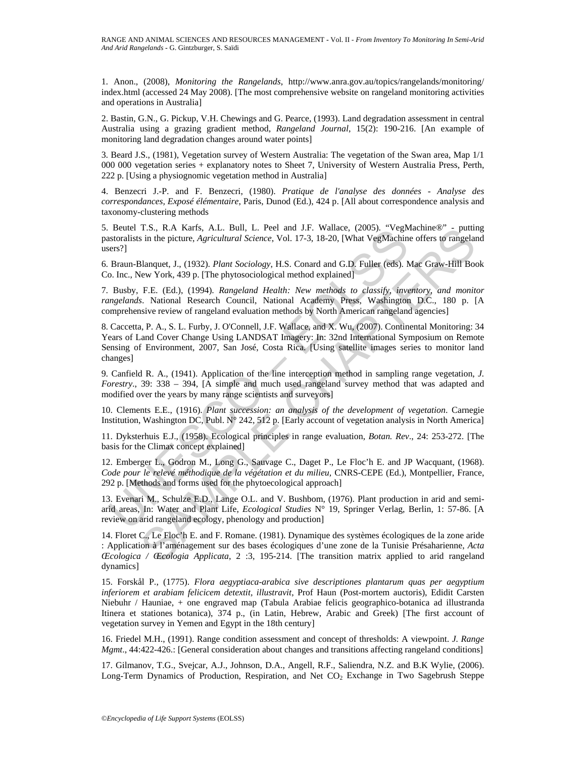1. Anon., (2008), *Monitoring the Rangelands*, http://www.anra.gov.au/topics/rangelands/monitoring/ index.html (accessed 24 May 2008). [The most comprehensive website on rangeland monitoring activities and operations in Australia]

2. Bastin, G.N., G. Pickup, V.H. Chewings and G. Pearce, (1993). Land degradation assessment in central Australia using a grazing gradient method, *Rangeland Journal*, 15(2): 190-216. [An example of monitoring land degradation changes around water points]

3. Beard J.S., (1981), Vegetation survey of Western Australia: The vegetation of the Swan area, Map 1/1 000 000 vegetation series + explanatory notes to Sheet 7, University of Western Australia Press, Perth, 222 p. [Using a physiognomic vegetation method in Australia]

4. Benzecri J.-P. and F. Benzecri, (1980). *Pratique de l'analyse des données - Analyse des correspondances, Exposé élémentaire*, Paris, Dunod (Ed.), 424 p. [All about correspondence analysis and taxonomy-clustering methods

5. Beutel T.S., R.A Karfs, A.L. Bull, L. Peel and J.F. Wallace, (2005). "VegMachine®" - putting pastoralists in the picture, *Agricultural Science*, Vol. 17-3, 18-20, [What VegMachine offers to rangeland users?]

6. Braun-Blanquet, J., (1932). *Plant Sociology*, H.S. Conard and G.D. Fuller (eds). Mac Graw-Hill Book Co. Inc., New York, 439 p. [The phytosociological method explained]

7. Busby, F.E. (Ed.), (1994). *Rangeland Health: New methods to classify, inventory, and monitor rangelands*. National Research Council, National Academy Press, Washington D.C., 180 p. [A comprehensive review of rangeland evaluation methods by North American rangeland agencies]

Bettel 1.S., R.A. Karrs, A.L. Bunt, L. reet and J.F. walace, (2005). vegw<br>Instoralists in the picture, *Agricultural Science*, Vol. 17-3, 18-20, [What VegMachini<br>reso?]<br>Braun-Blanquet, J., (1932). *Plant Sociology*, H.S. C T.S., R.A. Karsts, A.L. Bull, L. Peel and J.F. Wallace, (2005). "VegMachine es" outurn<br>
is in the picture, *Agricultural Science*, Vol. 17-3, 18-20, [What VegMachine offers to rangelar<br>
is in the picture, *Agricultural Sc* 8. Caccetta, P. A., S. L. Furby, J. O'Connell, J.F. Wallace, and X. Wu, (2007). Continental Monitoring: 34 Years of Land Cover Change Using LANDSAT Imagery: In: 32nd International Symposium on Remote Sensing of Environment, 2007, San José, Costa Rica. [Using satellite images series to monitor land changes]

9. Canfield R. A., (1941). Application of the line interception method in sampling range vegetation, *J. Forestry*., 39: 338 – 394, [A simple and much used rangeland survey method that was adapted and modified over the years by many range scientists and surveyors]

10. Clements E.E., (1916). *Plant succession: an analysis of the development of vegetation*. Carnegie Institution, Washington DC, Publ. N° 242, 512 p. [Early account of vegetation analysis in North America]

11. Dyksterhuis E.J., (1958). Ecological principles in range evaluation, *Botan. Rev*., 24: 253-272. [The basis for the Climax concept explained]

12. Emberger L., Godron M., Long G., Sauvage C., Daget P., Le Floc'h E. and JP Wacquant, (1968). *Code pour le relevé méthodique de la végétation et du milieu,* CNRS-CEPE (Ed.), Montpellier, France, 292 p. [Methods and forms used for the phytoecological approach]

13. Evenari M., Schulze E.D., Lange O.L. and V. Bushbom, (1976). Plant production in arid and semiarid areas, In: Water and Plant Life, *Ecological Studies* N° 19, Springer Verlag, Berlin, 1: 57-86. [A review on arid rangeland ecology, phenology and production]

14. Floret C., Le Floc'h E. and F. Romane. (1981). Dynamique des systèmes écologiques de la zone aride : Application à l'aménagement sur des bases écologiques d'une zone de la Tunisie Présaharienne, *Acta Œcologica / Œcologia Applicata*, 2 :3, 195-214. [The transition matrix applied to arid rangeland dynamics]

15. Forskål P., (1775). *Flora aegyptiaca-arabica sive descriptiones plantarum quas per aegyptium inferiorem et arabiam felicicem detextit, illustravit*, Prof Haun (Post-mortem auctoris), Edidit Carsten Niebuhr / Hauniae, + one engraved map (Tabula Arabiae felicis geographico-botanica ad illustranda Itinera et stationes botanica), 374 p., (in Latin, Hebrew, Arabic and Greek) [The first account of vegetation survey in Yemen and Egypt in the 18th century]

16. Friedel M.H., (1991). Range condition assessment and concept of thresholds: A viewpoint. *J. Range Mgmt*., 44:422-426.: [General consideration about changes and transitions affecting rangeland conditions]

17. Gilmanov, T.G., Svejcar, A.J., Johnson, D.A., Angell, R.F., Saliendra, N.Z. and B.K Wylie, (2006). Long-Term Dynamics of Production, Respiration, and Net CO<sub>2</sub> Exchange in Two Sagebrush Steppe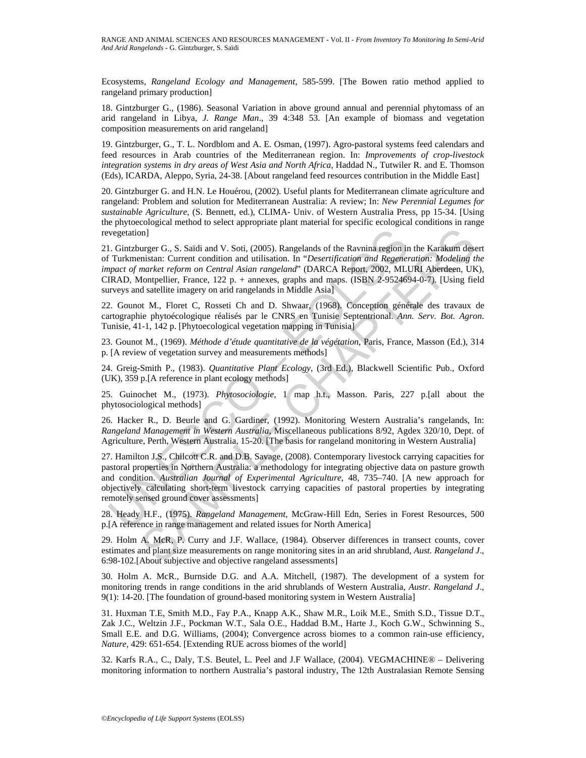Ecosystems, *Rangeland Ecology and Management*, 585-599. [The Bowen ratio method applied to rangeland primary production]

18. Gintzburger G., (1986). Seasonal Variation in above ground annual and perennial phytomass of an arid rangeland in Libya, *J. Range Man*., 39 4:348 53. [An example of biomass and vegetation composition measurements on arid rangeland]

19. Gintzburger, G., T. L. Nordblom and A. E. Osman, (1997). Agro-pastoral systems feed calendars and feed resources in Arab countries of the Mediterranean region. In: *Improvements of crop-livestock integration systems in dry areas of West Asia and North Africa*, Haddad N., Tutwiler R. and E. Thomson (Eds), ICARDA, Aleppo, Syria, 24-38. [About rangeland feed resources contribution in the Middle East]

20. Gintzburger G. and H.N. Le Houérou, (2002). Useful plants for Mediterranean climate agriculture and rangeland: Problem and solution for Mediterranean Australia: A review; In: *New Perennial Legumes for sustainable Agriculture*, (S. Bennett, ed.), CLIMA- Univ. of Western Australia Press, pp 15-34. [Using the phytoecological method to select appropriate plant material for specific ecological conditions in range revegetation]

vegetation]<br>
U. Gintzburger G., S. Saïdi and V. Soti, (2005). Rangelands of the Ravnina region in<br>
Turkmenistan: Current condition and utilisation. In "*Desertification and Regener of market reform on Central Asian rangela* orger G. S. Saïdi and V. Soit, (2005). Rangelands of the Ravnina region in the Karakum deservation:<br>
urger G. S. Saïdi and V. Soit, (2005). Rangelands of the Ravnina region in the Karakum deservation:<br>
Urantez reform on Ce 21. Gintzburger G., S. Saïdi and V. Soti, (2005). Rangelands of the Ravnina region in the Karakum desert of Turkmenistan: Current condition and utilisation. In "*Desertification and Regeneration: Modeling the impact of market reform on Central Asian rangeland*" (DARCA Report, 2002, MLURI Aberdeen, UK), CIRAD, Montpellier, France, 122 p. + annexes, graphs and maps. (ISBN 2-9524694-0-7). [Using field surveys and satellite imagery on arid rangelands in Middle Asia]

22. Gounot M., Floret C, Rosseti Ch and D. Shwaar, (1968). Conception générale des travaux de cartographie phytoécologique réalisés par le CNRS en Tunisie Septentrional. *Ann. Serv. Bot. Agron*. Tunisie, 41-1, 142 p. [Phytoecological vegetation mapping in Tunisia]

23. Gounot M., (1969). *Méthode d'étude quantitative de la végétation*, Paris, France, Masson (Ed.), 314 p. [A review of vegetation survey and measurements methods]

24. Greig-Smith P., (1983). *Quantitative Plant Ecology*, (3rd Ed.), Blackwell Scientific Pub., Oxford (UK), 359 p.[A reference in plant ecology methods]

25. Guinochet M., (1973). *Phytosociologie*, 1 map h.t., Masson. Paris, 227 p.[all about the phytosociological methods]

26. Hacker R., D. Beurle and G. Gardiner, (1992). Monitoring Western Australia's rangelands, In: *Rangeland Management in Western Australia*, Miscellaneous publications 8/92, Agdex 320/10, Dept. of Agriculture, Perth, Western Australia, 15-20. [The basis for rangeland monitoring in Western Australia]

27. Hamilton J.S., Chilcott C.R. and D.B. Savage, (2008). Contemporary livestock carrying capacities for pastoral properties in Northern Australia: a methodology for integrating objective data on pasture growth and condition. *Australian Journal of Experimental Agriculture*, 48, 735–740. [A new approach for objectively calculating short-term livestock carrying capacities of pastoral properties by integrating remotely sensed ground cover assessments]

28. Heady H.F., (1975). *Rangeland Management*, McGraw-Hill Edn, Series in Forest Resources, 500 p.[A reference in range management and related issues for North America]

29. Holm A. McR, P. Curry and J.F. Wallace, (1984). Observer differences in transect counts, cover estimates and plant size measurements on range monitoring sites in an arid shrubland, *Aust. Rangeland J*., 6:98-102.[About subjective and objective rangeland assessments]

30. Holm A. McR., Burnside D.G. and A.A. Mitchell, (1987). The development of a system for monitoring trends in range conditions in the arid shrublands of Western Australia, *Austr. Rangeland J*., 9(1): 14-20. [The foundation of ground-based monitoring system in Western Australia]

31. Huxman T.E, Smith M.D., Fay P.A., Knapp A.K., Shaw M.R., Loik M.E., Smith S.D., Tissue D.T., Zak J.C., Weltzin J.F., Pockman W.T., Sala O.E., Haddad B.M., Harte J., Koch G.W., Schwinning S., Small E.E. and D.G. Williams, (2004); Convergence across biomes to a common rain-use efficiency, *Nature*, 429: 651-654. [Extending RUE across biomes of the world]

32. Karfs R.A., C., Daly, T.S. Beutel, L. Peel and J.F Wallace, (2004). VEGMACHINE® – Delivering monitoring information to northern Australia's pastoral industry, The 12th Australasian Remote Sensing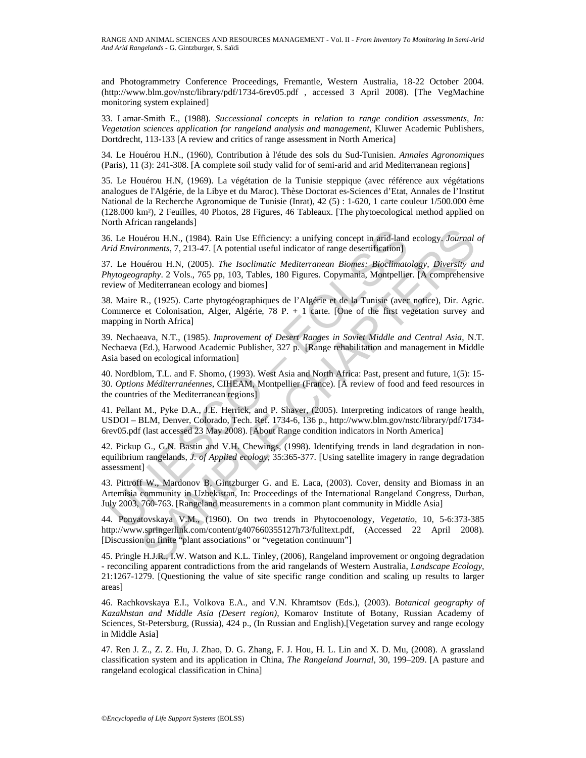and Photogrammetry Conference Proceedings, Fremantle, Western Australia, 18-22 October 2004. (http://www.blm.gov/nstc/library/pdf/1734-6rev05.pdf , accessed 3 April 2008). [The VegMachine monitoring system explained]

33. Lamar-Smith E., (1988). *Successional concepts in relation to range condition assessments, In: Vegetation sciences application for rangeland analysis and management*, Kluwer Academic Publishers, Dortdrecht, 113-133 [A review and critics of range assessment in North America]

34. Le Houérou H.N., (1960), Contribution à l'étude des sols du Sud-Tunisien. *Annales Agronomiques*  (Paris), 11 (3): 241-308. [A complete soil study valid for of semi-arid and arid Mediterranean regions]

35. Le Houérou H.N, (1969). La végétation de la Tunisie steppique (avec référence aux végétations analogues de l'Algérie, de la Libye et du Maroc). Thèse Doctorat es-Sciences d'Etat, Annales de l'Institut National de la Recherche Agronomique de Tunisie (Inrat), 42 (5) : 1-620, 1 carte couleur 1/500.000 ème (128.000 km²), 2 Feuilles, 40 Photos, 28 Figures, 46 Tableaux. [The phytoecological method applied on North African rangelands]

36. Le Houérou H.N., (1984). Rain Use Efficiency: a unifying concept in arid-land ecology. *Journal of Arid Environments*, 7, 213-47. [A potential useful indicator of range desertification]

37. Le Houérou H.N, (2005). *The Isoclimatic Mediterranean Biomes: Bioclimatology, Diversity and Phytogeography*. 2 Vols., 765 pp, 103, Tables, 180 Figures. Copymania, Montpellier. [A comprehensive review of Mediterranean ecology and biomes]

38. Maire R., (1925). Carte phytogéographiques de l'Algérie et de la Tunisie (avec notice), Dir. Agric. Commerce et Colonisation, Alger, Algérie, 78 P. + 1 carte. [One of the first vegetation survey and mapping in North Africa]

39. Nechaeava, N.T., (1985). *Improvement of Desert Ranges in Soviet Middle and Central Asia*, N.T. Nechaeva (Ed.), Harwood Academic Publisher, 327 p. [Range rehabilitation and management in Middle Asia based on ecological information]

40. Nordblom, T.L. and F. Shomo, (1993). West Asia and North Africa: Past, present and future, 1(5): 15- 30. *Options Méditerranéennes*, CIHEAM, Montpellier (France). [A review of food and feed resources in the countries of the Mediterranean regions]

41. Pellant M., Pyke D.A., J.E. Herrick, and P. Shaver, (2005). Interpreting indicators of range health, USDOI – BLM, Denver, Colorado, Tech. Ref. 1734-6, 136 p., http://www.blm.gov/nstc/library/pdf/1734- 6rev05.pdf (last accessed 23 May 2008). [About Range condition indicators in North America]

5. Le Houérou H.N., (1984). Rain Use Efficiency: a unifying concept in arid-land<br>
id Environments, 7, 213-47. [A potential useful indicator of range desertification]<br>
7. Le Houérou H.N, (2005). *The Isoclimatic Mediterrane* uérou H.N., (1984). Rain Use Efficiency: a unifying concept in and-land ecology. Journal comments, 7, 213-47. [A potential useful indicator of range desertification]<br>
moments, 7, 213-47. [A potential useful indicator of ra 42. Pickup G., G.N. Bastin and V.H. Chewings, (1998). Identifying trends in land degradation in nonequilibrium rangelands, *J. of Applied ecology*, 35:365-377. [Using satellite imagery in range degradation assessment]

43. Pittroff W., Mardonov B, Gintzburger G. and E. Laca, (2003). Cover, density and Biomass in an Artemisia community in Uzbekistan, In: Proceedings of the International Rangeland Congress, Durban, July 2003, 760-763. [Rangeland measurements in a common plant community in Middle Asia]

44. Ponyatovskaya V.M., (1960). On two trends in Phytocoenology, *Vegetatio*, 10, 5-6:373-385 http://www.springerlink.com/content/g407660355127h73/fulltext.pdf, (Accessed 22 April 2008). [Discussion on finite "plant associations" or "vegetation continuum"]

45. Pringle H.J.R., I.W. Watson and K.L. Tinley, (2006), Rangeland improvement or ongoing degradation - reconciling apparent contradictions from the arid rangelands of Western Australia, *Landscape Ecology*, 21:1267-1279. [Questioning the value of site specific range condition and scaling up results to larger areas]

46. Rachkovskaya E.I., Volkova E.A., and V.N. Khramtsov (Eds.), (2003). *Botanical geography of Kazakhstan and Middle Asia (Desert region)*, Komarov Institute of Botany, Russian Academy of Sciences, St-Petersburg, (Russia), 424 p., (In Russian and English).[Vegetation survey and range ecology in Middle Asia]

47. Ren J. Z., Z. Z. Hu, J. Zhao, D. G. Zhang, F. J. Hou, H. L. Lin and X. D. Mu, (2008). A grassland classification system and its application in China, *The Rangeland Journal*, 30, 199–209. [A pasture and rangeland ecological classification in China]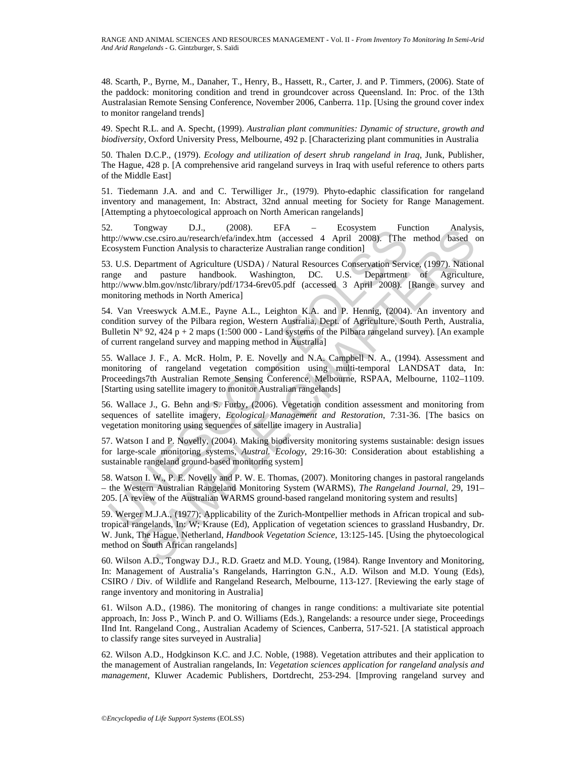48. Scarth, P., Byrne, M., Danaher, T., Henry, B., Hassett, R., Carter, J. and P. Timmers, (2006). State of the paddock: monitoring condition and trend in groundcover across Queensland. In: Proc. of the 13th Australasian Remote Sensing Conference, November 2006, Canberra. 11p. [Using the ground cover index to monitor rangeland trends]

49. Specht R.L. and A. Specht, (1999). *Australian plant communities: Dynamic of structure, growth and biodiversity*, Oxford University Press, Melbourne, 492 p. [Characterizing plant communities in Australia

50. Thalen D.C.P., (1979). *Ecology and utilization of desert shrub rangeland in Iraq*, Junk, Publisher, The Hague, 428 p. [A comprehensive arid rangeland surveys in Iraq with useful reference to others parts of the Middle East]

51. Tiedemann J.A. and and C. Terwilliger Jr., (1979). Phyto-edaphic classification for rangeland inventory and management, In: Abstract, 32nd annual meeting for Society for Range Management. [Attempting a phytoecological approach on North American rangelands]

52. Tongway D.J., (2008). EFA – Ecosystem Function Analysis, http://www.cse.csiro.au/research/efa/index.htm (accessed 4 April 2008). [The method based on Ecosystem Function Analysis to characterize Australian range condition]

53. U.S. Department of Agriculture (USDA) / Natural Resources Conservation Service, (1997). National range and pasture handbook. Washington, DC. U.S. Department of Agriculture, http://www.blm.gov/nstc/library/pdf/1734-6rev05.pdf (accessed 3 April 2008). [Range survey and monitoring methods in North America]

54. Van Vreeswyck A.M.E., Payne A.L., Leighton K.A. and P. Hennig, (2004). An inventory and condition survey of the Pilbara region, Western Australia, Dept. of Agriculture, South Perth, Australia, Bulletin N° 92, 424 p + 2 maps (1:500 000 - Land systems of the Pilbara rangeland survey). [An example of current rangeland survey and mapping method in Australia]

2.<br>
In formal D.J., (2008). EPA<br>
Environmental D.J., (2008). ETA – EOSystem Innuction Analysis to characterize Australian range condition]<br>
IThe cosystem Function Analysis to characterize Australian range condition]<br>
IThe 55. Wallace J. F., A. McR. Holm, P. E. Novelly and N.A. Campbell N. A., (1994). Assessment and monitoring of rangeland vegetation composition using multi-temporal LANDSAT data, In: Proceedings7th Australian Remote Sensing Conference, Melbourne, RSPAA, Melbourne, 1102–1109. [Starting using satellite imagery to monitor Australian rangelands]

56. Wallace J., G. Behn and S. Furby, (2006). Vegetation condition assessment and monitoring from sequences of satellite imagery, *Ecological Management and Restoration*, 7:31-36. [The basics on vegetation monitoring using sequences of satellite imagery in Australia]

57. Watson I and P. Novelly, (2004). Making biodiversity monitoring systems sustainable: design issues for large-scale monitoring systems, *Austral. Ecology*, 29:16-30: Consideration about establishing a sustainable rangeland ground-based monitoring system]

58. Watson I. W., P. E. Novelly and P. W. E. Thomas, (2007). Monitoring changes in pastoral rangelands – the Western Australian Rangeland Monitoring System (WARMS), *The Rangeland Journal*, 29, 191– 205. [A review of the Australian WARMS ground-based rangeland monitoring system and results]

mgway DJ., (2008). EFA - Leonystem - Function Analysis occurs are the and based concercive facilities the Function Analysis to characterize Australian range condition [10508]. The method based c Function Analysis to charac 59. Werger M.J.A., (1977); Applicability of the Zurich-Montpellier methods in African tropical and subtropical rangelands, In: W; Krause (Ed), Application of vegetation sciences to grassland Husbandry, Dr. W. Junk, The Hague, Netherland, *Handbook Vegetation Science*, 13:125-145. [Using the phytoecological method on South African rangelands]

60. Wilson A.D., Tongway D.J., R.D. Graetz and M.D. Young, (1984). Range Inventory and Monitoring, In: Management of Australia's Rangelands, Harrington G.N., A.D. Wilson and M.D. Young (Eds), CSIRO / Div. of Wildlife and Rangeland Research, Melbourne, 113-127. [Reviewing the early stage of range inventory and monitoring in Australia]

61. Wilson A.D., (1986). The monitoring of changes in range conditions: a multivariate site potential approach, In: Joss P., Winch P. and O. Williams (Eds.), Rangelands: a resource under siege, Proceedings IInd Int. Rangeland Cong., Australian Academy of Sciences, Canberra, 517-521. [A statistical approach to classify range sites surveyed in Australia]

62. Wilson A.D., Hodgkinson K.C. and J.C. Noble, (1988). Vegetation attributes and their application to the management of Australian rangelands, In: *Vegetation sciences application for rangeland analysis and management*, Kluwer Academic Publishers, Dortdrecht, 253-294. [Improving rangeland survey and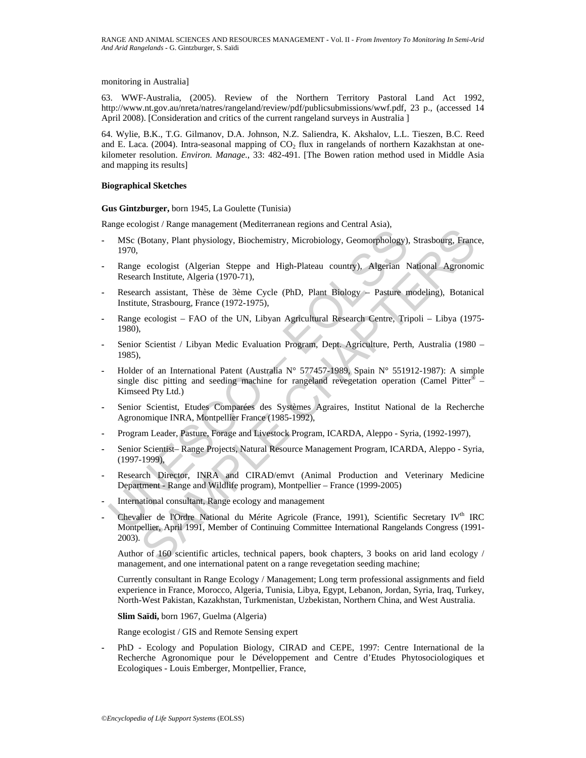monitoring in Australia]

63. WWF-Australia, (2005). Review of the Northern Territory Pastoral Land Act 1992, http://www.nt.gov.au/nreta/natres/rangeland/review/pdf/publicsubmissions/wwf.pdf, 23 p., (accessed 14 April 2008). [Consideration and critics of the current rangeland surveys in Australia ]

64. Wylie, B.K., T.G. Gilmanov, D.A. Johnson, N.Z. Saliendra, K. Akshalov, L.L. Tieszen, B.C. Reed and E. Laca. (2004). Intra-seasonal mapping of  $CO<sub>2</sub>$  flux in rangelands of northern Kazakhstan at onekilometer resolution. *Environ. Manage.*, 33: 482-491. [The Bowen ration method used in Middle Asia and mapping its results]

#### **Biographical Sketches**

**Gus Gintzburger,** born 1945, La Goulette (Tunisia)

Range ecologist / Range management (Mediterranean regions and Central Asia),

- **-** MSc (Botany, Plant physiology, Biochemistry, Microbiology, Geomorphology), Strasbourg, France, 1970,
- **-** Range ecologist (Algerian Steppe and High-Plateau country), Algerian National Agronomic Research Institute, Algeria (1970-71),
- **-** Research assistant, Thèse de 3ème Cycle (PhD, Plant Biology Pasture modeling), Botanical Institute, Strasbourg, France (1972-1975),
- **-** Range ecologist FAO of the UN, Libyan Agricultural Research Centre, Tripoli Libya (1975- 1980),
- **-** Senior Scientist / Libyan Medic Evaluation Program, Dept. Agriculture, Perth, Australia (1980 1985),
- MSC (Botany, Plant physiology, Biochemistry, Microbiology, Geomorphology),<br>
1970,<br>
Range ecologist (Algerian Steppe and High-Plateau country), Algerian Nesearch Institute, Algeria (1970-71),<br>
Research Institute, Algeria (1 **-** Holder of an International Patent (Australia N° 577457-1989, Spain N° 551912-1987): A simple single disc pitting and seeding machine for rangeland revegetation operation (Camel Pitter<sup>®</sup> – Kimseed Pty Ltd.)
- **-** Senior Scientist, Etudes Comparées des Systèmes Agraires, Institut National de la Recherche Agronomique INRA, Montpellier France (1985-1992),
- **-** Program Leader, Pasture, Forage and Livestock Program, ICARDA, Aleppo Syria, (1992-1997),
- **-** Senior Scientist– Range Projects, Natural Resource Management Program, ICARDA, Aleppo Syria, (1997-1999),
- **-** Research Director, INRA and CIRAD/emvt (Animal Production and Veterinary Medicine Department - Range and Wildlife program), Montpellier – France (1999-2005)
- **-** International consultant, Range ecology and management
- or Kung-management reneutrieur reneutrieur reneutrieur, Microbiology, Geomorphology), Strasbourg, France<br>
ecologist (Algerian Stepe and High-Plateau country), Algerian National Agronom<br>
reneutrieur, Algerian Stepe and High Chevalier de l'Ordre National du Mérite Agricole (France, 1991), Scientific Secretary IV<sup>th</sup> IRC Montpellier, April 1991, Member of Continuing Committee International Rangelands Congress (1991- 2003).

Author of 160 scientific articles, technical papers, book chapters, 3 books on arid land ecology / management, and one international patent on a range revegetation seeding machine;

Currently consultant in Range Ecology / Management; Long term professional assignments and field experience in France, Morocco, Algeria, Tunisia, Libya, Egypt, Lebanon, Jordan, Syria, Iraq, Turkey, North-West Pakistan, Kazakhstan, Turkmenistan, Uzbekistan, Northern China, and West Australia.

**Slim Saïdi,** born 1967, Guelma (Algeria)

Range ecologist / GIS and Remote Sensing expert

**-** PhD - Ecology and Population Biology, CIRAD and CEPE, 1997: Centre International de la Recherche Agronomique pour le Développement and Centre d'Etudes Phytosociologiques et Ecologiques - Louis Emberger, Montpellier, France,